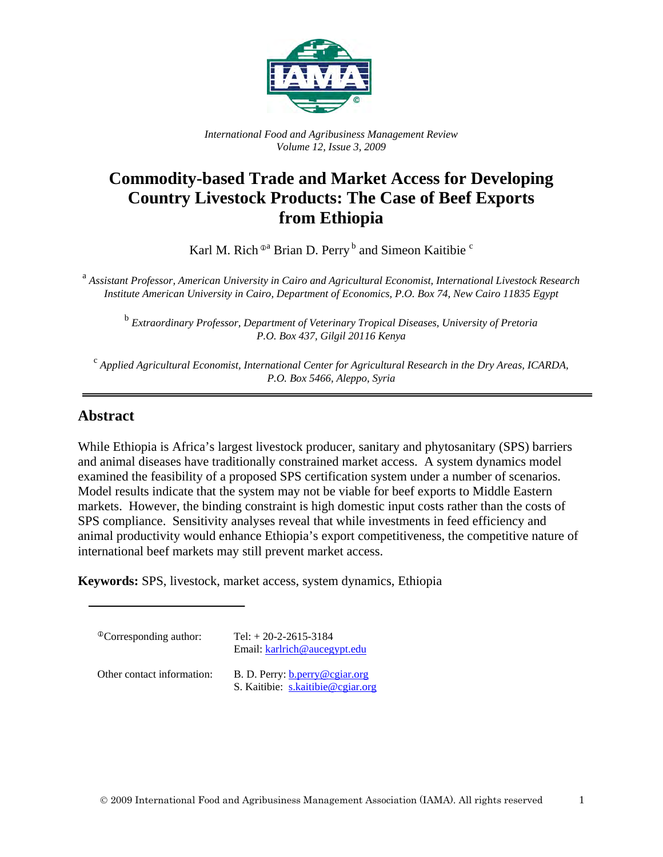

*International Food and Agribusiness Management Review Volume 12, Issue 3, 2009*

# **Commodity-based Trade and Market Access for Developing Country Livestock Products: The Case of Beef Exports from Ethiopia**

Karl M. Rich  $^{\odot a}$  Brian D. Perry  $^b$  and Simeon Kaitibie  $^c$ 

<sup>a</sup> *Assistant Professor, American University in Cairo and Agricultural Economist, International Livestock Research Institute American University in Cairo, Department of Economics, P.O. Box 74, New Cairo 11835 Egypt*

<sup>b</sup> *Extraordinary Professor, Department of Veterinary Tropical Diseases, University of Pretoria P.O. Box 437, Gilgil 20116 Kenya*

<sup>c</sup> *Applied Agricultural Economist, International Center for Agricultural Research in the Dry Areas, ICARDA, P.O. Box 5466, Aleppo, Syria*

# **Abstract**

While Ethiopia is Africa's largest livestock producer, sanitary and phytosanitary (SPS) barriers and animal diseases have traditionally constrained market access. A system dynamics model examined the feasibility of a proposed SPS certification system under a number of scenarios. Model results indicate that the system may not be viable for beef exports to Middle Eastern markets. However, the binding constraint is high domestic input costs rather than the costs of SPS compliance. Sensitivity analyses reveal that while investments in feed efficiency and animal productivity would enhance Ethiopia's export competitiveness, the competitive nature of international beef markets may still prevent market access.

**Keywords:** SPS, livestock, market access, system dynamics, Ethiopia

| <sup>Th</sup> Corresponding author: | Tel: $+ 20 - 2 - 2615 - 3184$<br>Email: karlrich@aucegypt.edu              |
|-------------------------------------|----------------------------------------------------------------------------|
| Other contact information:          | B. D. Perry: <b>b.perry@cgiar.org</b><br>S. Kaitibie: s.kaitibie@cgiar.org |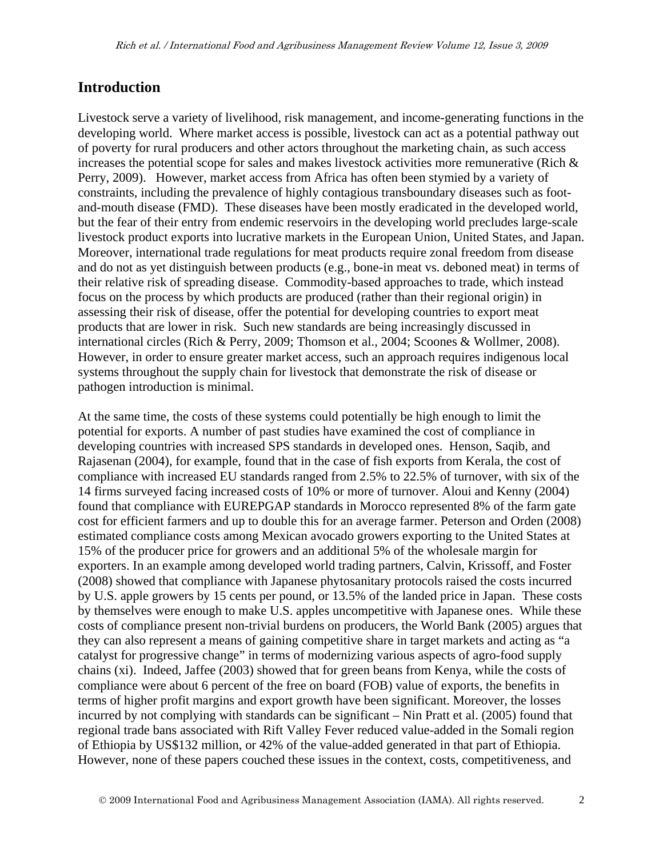# **Introduction**

Livestock serve a variety of livelihood, risk management, and income-generating functions in the developing world. Where market access is possible, livestock can act as a potential pathway out of poverty for rural producers and other actors throughout the marketing chain, as such access increases the potential scope for sales and makes livestock activities more remunerative (Rich & Perry, 2009). However, market access from Africa has often been stymied by a variety of constraints, including the prevalence of highly contagious transboundary diseases such as footand-mouth disease (FMD). These diseases have been mostly eradicated in the developed world, but the fear of their entry from endemic reservoirs in the developing world precludes large-scale livestock product exports into lucrative markets in the European Union, United States, and Japan. Moreover, international trade regulations for meat products require zonal freedom from disease and do not as yet distinguish between products (e.g., bone-in meat vs. deboned meat) in terms of their relative risk of spreading disease. Commodity-based approaches to trade, which instead focus on the process by which products are produced (rather than their regional origin) in assessing their risk of disease, offer the potential for developing countries to export meat products that are lower in risk. Such new standards are being increasingly discussed in international circles (Rich & Perry, 2009; Thomson et al., 2004; Scoones & Wollmer, 2008). However, in order to ensure greater market access, such an approach requires indigenous local systems throughout the supply chain for livestock that demonstrate the risk of disease or pathogen introduction is minimal.

At the same time, the costs of these systems could potentially be high enough to limit the potential for exports. A number of past studies have examined the cost of compliance in developing countries with increased SPS standards in developed ones. Henson, Saqib, and Rajasenan (2004), for example, found that in the case of fish exports from Kerala, the cost of compliance with increased EU standards ranged from 2.5% to 22.5% of turnover, with six of the 14 firms surveyed facing increased costs of 10% or more of turnover. Aloui and Kenny (2004) found that compliance with EUREPGAP standards in Morocco represented 8% of the farm gate cost for efficient farmers and up to double this for an average farmer. Peterson and Orden (2008) estimated compliance costs among Mexican avocado growers exporting to the United States at 15% of the producer price for growers and an additional 5% of the wholesale margin for exporters. In an example among developed world trading partners, Calvin, Krissoff, and Foster (2008) showed that compliance with Japanese phytosanitary protocols raised the costs incurred by U.S. apple growers by 15 cents per pound, or 13.5% of the landed price in Japan. These costs by themselves were enough to make U.S. apples uncompetitive with Japanese ones. While these costs of compliance present non-trivial burdens on producers, the World Bank (2005) argues that they can also represent a means of gaining competitive share in target markets and acting as "a catalyst for progressive change" in terms of modernizing various aspects of agro-food supply chains (xi). Indeed, Jaffee (2003) showed that for green beans from Kenya, while the costs of compliance were about 6 percent of the free on board (FOB) value of exports, the benefits in terms of higher profit margins and export growth have been significant. Moreover, the losses incurred by not complying with standards can be significant – Nin Pratt et al. (2005) found that regional trade bans associated with Rift Valley Fever reduced value-added in the Somali region of Ethiopia by US\$132 million, or 42% of the value-added generated in that part of Ethiopia. However, none of these papers couched these issues in the context, costs, competitiveness, and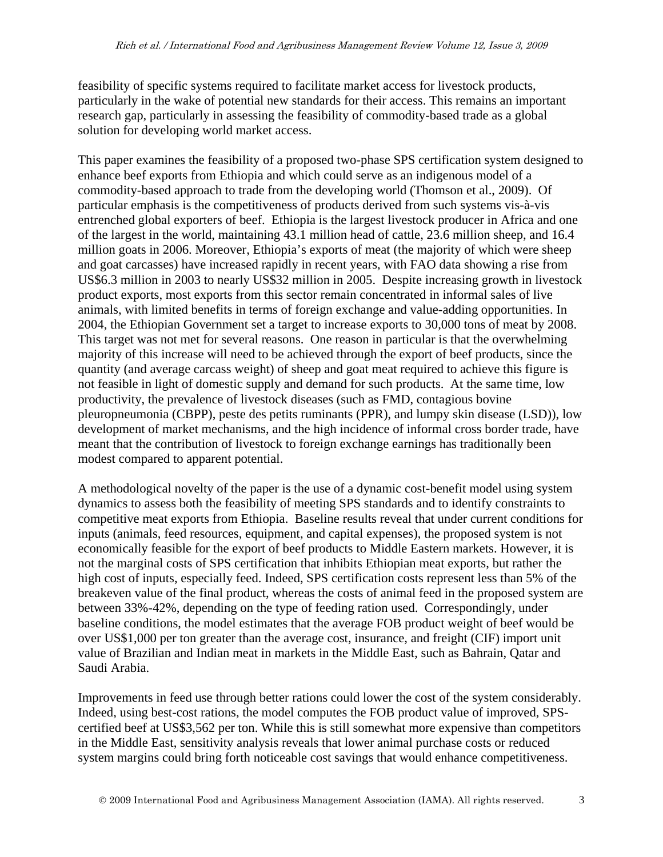feasibility of specific systems required to facilitate market access for livestock products, particularly in the wake of potential new standards for their access. This remains an important research gap, particularly in assessing the feasibility of commodity-based trade as a global solution for developing world market access.

This paper examines the feasibility of a proposed two-phase SPS certification system designed to enhance beef exports from Ethiopia and which could serve as an indigenous model of a commodity-based approach to trade from the developing world (Thomson et al., 2009). Of particular emphasis is the competitiveness of products derived from such systems vis-à-vis entrenched global exporters of beef. Ethiopia is the largest livestock producer in Africa and one of the largest in the world, maintaining 43.1 million head of cattle, 23.6 million sheep, and 16.4 million goats in 2006. Moreover, Ethiopia's exports of meat (the majority of which were sheep and goat carcasses) have increased rapidly in recent years, with FAO data showing a rise from US\$6.3 million in 2003 to nearly US\$32 million in 2005. Despite increasing growth in livestock product exports, most exports from this sector remain concentrated in informal sales of live animals, with limited benefits in terms of foreign exchange and value-adding opportunities. In 2004, the Ethiopian Government set a target to increase exports to 30,000 tons of meat by 2008. This target was not met for several reasons. One reason in particular is that the overwhelming majority of this increase will need to be achieved through the export of beef products, since the quantity (and average carcass weight) of sheep and goat meat required to achieve this figure is not feasible in light of domestic supply and demand for such products. At the same time, low productivity, the prevalence of livestock diseases (such as FMD, contagious bovine pleuropneumonia (CBPP), peste des petits ruminants (PPR), and lumpy skin disease (LSD)), low development of market mechanisms, and the high incidence of informal cross border trade, have meant that the contribution of livestock to foreign exchange earnings has traditionally been modest compared to apparent potential.

A methodological novelty of the paper is the use of a dynamic cost-benefit model using system dynamics to assess both the feasibility of meeting SPS standards and to identify constraints to competitive meat exports from Ethiopia. Baseline results reveal that under current conditions for inputs (animals, feed resources, equipment, and capital expenses), the proposed system is not economically feasible for the export of beef products to Middle Eastern markets. However, it is not the marginal costs of SPS certification that inhibits Ethiopian meat exports, but rather the high cost of inputs, especially feed. Indeed, SPS certification costs represent less than 5% of the breakeven value of the final product, whereas the costs of animal feed in the proposed system are between 33%-42%, depending on the type of feeding ration used. Correspondingly, under baseline conditions, the model estimates that the average FOB product weight of beef would be over US\$1,000 per ton greater than the average cost, insurance, and freight (CIF) import unit value of Brazilian and Indian meat in markets in the Middle East, such as Bahrain, Qatar and Saudi Arabia.

Improvements in feed use through better rations could lower the cost of the system considerably. Indeed, using best-cost rations, the model computes the FOB product value of improved, SPScertified beef at US\$3,562 per ton. While this is still somewhat more expensive than competitors in the Middle East, sensitivity analysis reveals that lower animal purchase costs or reduced system margins could bring forth noticeable cost savings that would enhance competitiveness.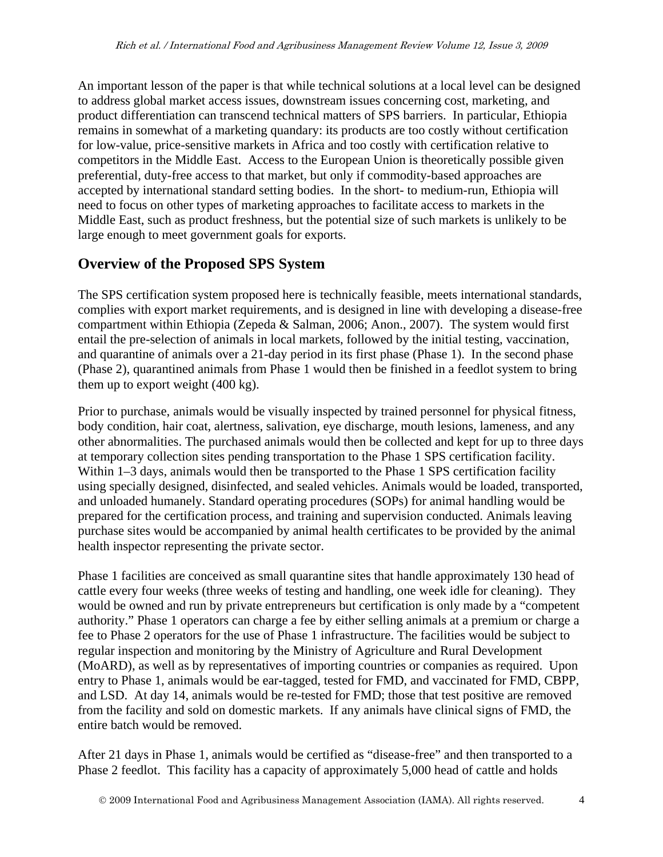An important lesson of the paper is that while technical solutions at a local level can be designed to address global market access issues, downstream issues concerning cost, marketing, and product differentiation can transcend technical matters of SPS barriers. In particular, Ethiopia remains in somewhat of a marketing quandary: its products are too costly without certification for low-value, price-sensitive markets in Africa and too costly with certification relative to competitors in the Middle East. Access to the European Union is theoretically possible given preferential, duty-free access to that market, but only if commodity-based approaches are accepted by international standard setting bodies. In the short- to medium-run, Ethiopia will need to focus on other types of marketing approaches to facilitate access to markets in the Middle East, such as product freshness, but the potential size of such markets is unlikely to be large enough to meet government goals for exports.

# **Overview of the Proposed SPS System**

The SPS certification system proposed here is technically feasible, meets international standards, complies with export market requirements, and is designed in line with developing a disease-free compartment within Ethiopia (Zepeda & Salman, 2006; Anon., 2007). The system would first entail the pre-selection of animals in local markets, followed by the initial testing, vaccination, and quarantine of animals over a 21-day period in its first phase (Phase 1). In the second phase (Phase 2), quarantined animals from Phase 1 would then be finished in a feedlot system to bring them up to export weight (400 kg).

Prior to purchase, animals would be visually inspected by trained personnel for physical fitness, body condition, hair coat, alertness, salivation, eye discharge, mouth lesions, lameness, and any other abnormalities. The purchased animals would then be collected and kept for up to three days at temporary collection sites pending transportation to the Phase 1 SPS certification facility. Within 1–3 days, animals would then be transported to the Phase 1 SPS certification facility using specially designed, disinfected, and sealed vehicles. Animals would be loaded, transported, and unloaded humanely. Standard operating procedures (SOPs) for animal handling would be prepared for the certification process, and training and supervision conducted. Animals leaving purchase sites would be accompanied by animal health certificates to be provided by the animal health inspector representing the private sector.

Phase 1 facilities are conceived as small quarantine sites that handle approximately 130 head of cattle every four weeks (three weeks of testing and handling, one week idle for cleaning). They would be owned and run by private entrepreneurs but certification is only made by a "competent authority." Phase 1 operators can charge a fee by either selling animals at a premium or charge a fee to Phase 2 operators for the use of Phase 1 infrastructure. The facilities would be subject to regular inspection and monitoring by the Ministry of Agriculture and Rural Development (MoARD), as well as by representatives of importing countries or companies as required. Upon entry to Phase 1, animals would be ear-tagged, tested for FMD, and vaccinated for FMD, CBPP, and LSD. At day 14, animals would be re-tested for FMD; those that test positive are removed from the facility and sold on domestic markets. If any animals have clinical signs of FMD, the entire batch would be removed.

After 21 days in Phase 1, animals would be certified as "disease-free" and then transported to a Phase 2 feedlot. This facility has a capacity of approximately 5,000 head of cattle and holds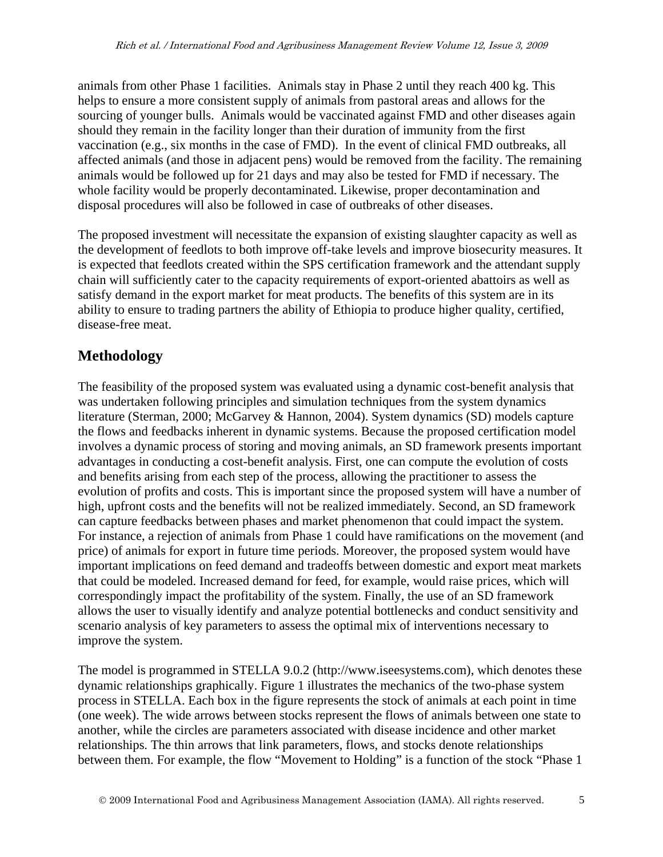animals from other Phase 1 facilities. Animals stay in Phase 2 until they reach 400 kg. This helps to ensure a more consistent supply of animals from pastoral areas and allows for the sourcing of younger bulls. Animals would be vaccinated against FMD and other diseases again should they remain in the facility longer than their duration of immunity from the first vaccination (e.g., six months in the case of FMD). In the event of clinical FMD outbreaks, all affected animals (and those in adjacent pens) would be removed from the facility. The remaining animals would be followed up for 21 days and may also be tested for FMD if necessary. The whole facility would be properly decontaminated. Likewise, proper decontamination and disposal procedures will also be followed in case of outbreaks of other diseases.

The proposed investment will necessitate the expansion of existing slaughter capacity as well as the development of feedlots to both improve off-take levels and improve biosecurity measures. It is expected that feedlots created within the SPS certification framework and the attendant supply chain will sufficiently cater to the capacity requirements of export-oriented abattoirs as well as satisfy demand in the export market for meat products. The benefits of this system are in its ability to ensure to trading partners the ability of Ethiopia to produce higher quality, certified, disease-free meat.

# **Methodology**

The feasibility of the proposed system was evaluated using a dynamic cost-benefit analysis that was undertaken following principles and simulation techniques from the system dynamics literature (Sterman, 2000; McGarvey & Hannon, 2004). System dynamics (SD) models capture the flows and feedbacks inherent in dynamic systems. Because the proposed certification model involves a dynamic process of storing and moving animals, an SD framework presents important advantages in conducting a cost-benefit analysis. First, one can compute the evolution of costs and benefits arising from each step of the process, allowing the practitioner to assess the evolution of profits and costs. This is important since the proposed system will have a number of high, upfront costs and the benefits will not be realized immediately. Second, an SD framework can capture feedbacks between phases and market phenomenon that could impact the system. For instance, a rejection of animals from Phase 1 could have ramifications on the movement (and price) of animals for export in future time periods. Moreover, the proposed system would have important implications on feed demand and tradeoffs between domestic and export meat markets that could be modeled. Increased demand for feed, for example, would raise prices, which will correspondingly impact the profitability of the system. Finally, the use of an SD framework allows the user to visually identify and analyze potential bottlenecks and conduct sensitivity and scenario analysis of key parameters to assess the optimal mix of interventions necessary to improve the system.

The model is programmed in STELLA 9.0.2 (http://www.iseesystems.com), which denotes these dynamic relationships graphically. Figure 1 illustrates the mechanics of the two-phase system process in STELLA. Each box in the figure represents the stock of animals at each point in time (one week). The wide arrows between stocks represent the flows of animals between one state to another, while the circles are parameters associated with disease incidence and other market relationships. The thin arrows that link parameters, flows, and stocks denote relationships between them. For example, the flow "Movement to Holding" is a function of the stock "Phase 1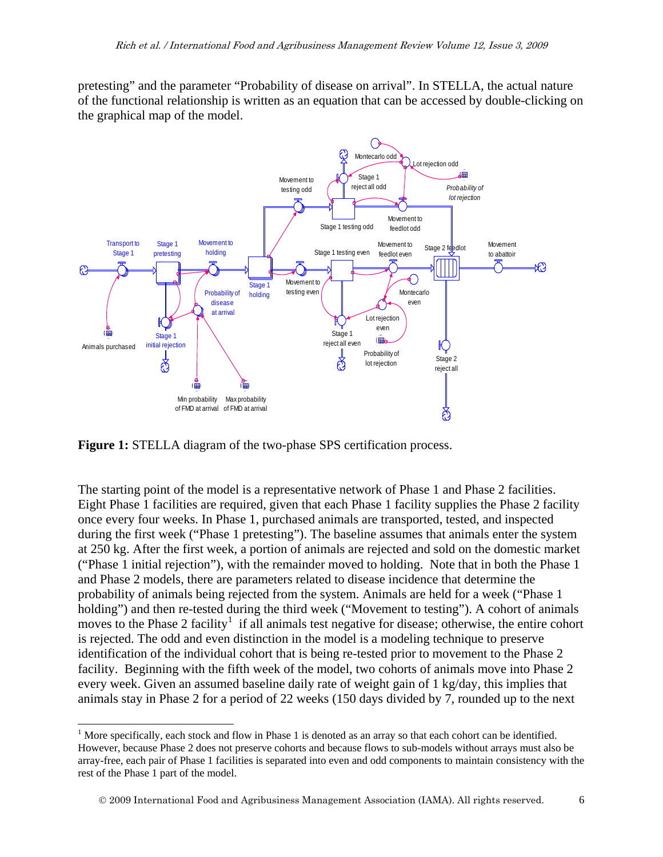pretesting" and the parameter "Probability of disease on arrival". In STELLA, the actual nature of the functional relationship is written as an equation that can be accessed by double-clicking on the graphical map of the model.



**Figure 1:** STELLA diagram of the two-phase SPS certification process.

The starting point of the model is a representative network of Phase 1 and Phase 2 facilities. Eight Phase 1 facilities are required, given that each Phase 1 facility supplies the Phase 2 facility once every four weeks. In Phase 1, purchased animals are transported, tested, and inspected during the first week ("Phase 1 pretesting"). The baseline assumes that animals enter the system at 250 kg. After the first week, a portion of animals are rejected and sold on the domestic market ("Phase 1 initial rejection"), with the remainder moved to holding. Note that in both the Phase 1 and Phase 2 models, there are parameters related to disease incidence that determine the probability of animals being rejected from the system. Animals are held for a week ("Phase 1 holding") and then re-tested during the third week ("Movement to testing"). A cohort of animals moves to the Phase 2 facility<sup>[1](#page-5-0)</sup> if all animals test negative for disease; otherwise, the entire cohort is rejected. The odd and even distinction in the model is a modeling technique to preserve identification of the individual cohort that is being re-tested prior to movement to the Phase 2 facility. Beginning with the fifth week of the model, two cohorts of animals move into Phase 2 every week. Given an assumed baseline daily rate of weight gain of 1 kg/day, this implies that animals stay in Phase 2 for a period of 22 weeks (150 days divided by 7, rounded up to the next

<span id="page-5-0"></span> $\overline{a}$ <sup>1</sup> More specifically, each stock and flow in Phase 1 is denoted as an array so that each cohort can be identified. However, because Phase 2 does not preserve cohorts and because flows to sub-models without arrays must also be array-free, each pair of Phase 1 facilities is separated into even and odd components to maintain consistency with the rest of the Phase 1 part of the model.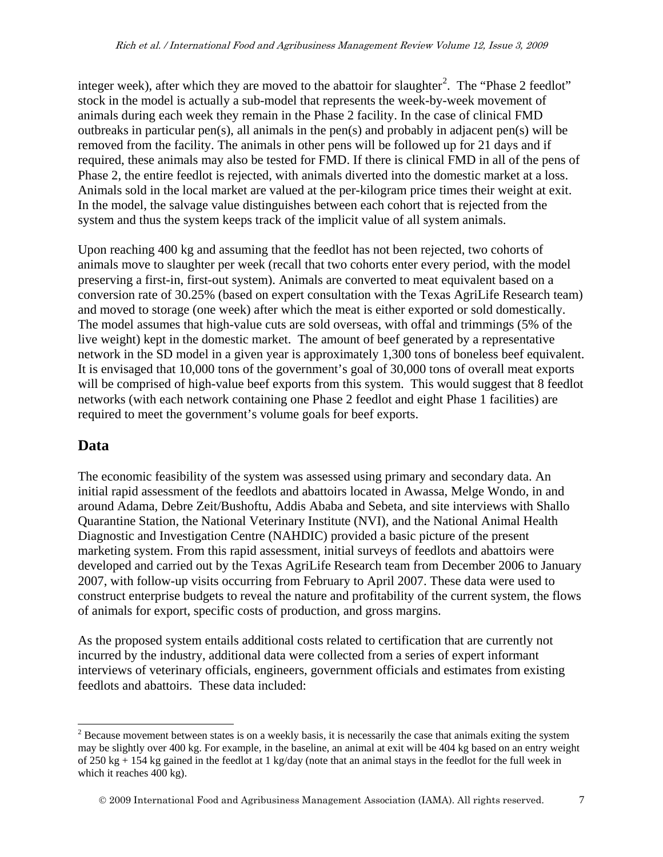integer week), after which they are moved to the abattoir for slaughter<sup>[2](#page-6-0)</sup>. The "Phase 2 feedlot" stock in the model is actually a sub-model that represents the week-by-week movement of animals during each week they remain in the Phase 2 facility. In the case of clinical FMD outbreaks in particular pen(s), all animals in the pen(s) and probably in adjacent pen(s) will be removed from the facility. The animals in other pens will be followed up for 21 days and if required, these animals may also be tested for FMD. If there is clinical FMD in all of the pens of Phase 2, the entire feedlot is rejected, with animals diverted into the domestic market at a loss. Animals sold in the local market are valued at the per-kilogram price times their weight at exit. In the model, the salvage value distinguishes between each cohort that is rejected from the system and thus the system keeps track of the implicit value of all system animals.

Upon reaching 400 kg and assuming that the feedlot has not been rejected, two cohorts of animals move to slaughter per week (recall that two cohorts enter every period, with the model preserving a first-in, first-out system). Animals are converted to meat equivalent based on a conversion rate of 30.25% (based on expert consultation with the Texas AgriLife Research team) and moved to storage (one week) after which the meat is either exported or sold domestically. The model assumes that high-value cuts are sold overseas, with offal and trimmings (5% of the live weight) kept in the domestic market. The amount of beef generated by a representative network in the SD model in a given year is approximately 1,300 tons of boneless beef equivalent. It is envisaged that 10,000 tons of the government's goal of 30,000 tons of overall meat exports will be comprised of high-value beef exports from this system. This would suggest that 8 feedlot networks (with each network containing one Phase 2 feedlot and eight Phase 1 facilities) are required to meet the government's volume goals for beef exports.

# **Data**

 $\overline{a}$ 

The economic feasibility of the system was assessed using primary and secondary data. An initial rapid assessment of the feedlots and abattoirs located in Awassa, Melge Wondo, in and around Adama, Debre Zeit/Bushoftu, Addis Ababa and Sebeta, and site interviews with Shallo Quarantine Station, the National Veterinary Institute (NVI), and the National Animal Health Diagnostic and Investigation Centre (NAHDIC) provided a basic picture of the present marketing system. From this rapid assessment, initial surveys of feedlots and abattoirs were developed and carried out by the Texas AgriLife Research team from December 2006 to January 2007, with follow-up visits occurring from February to April 2007. These data were used to construct enterprise budgets to reveal the nature and profitability of the current system, the flows of animals for export, specific costs of production, and gross margins.

As the proposed system entails additional costs related to certification that are currently not incurred by the industry, additional data were collected from a series of expert informant interviews of veterinary officials, engineers, government officials and estimates from existing feedlots and abattoirs. These data included:

<span id="page-6-0"></span><sup>&</sup>lt;sup>2</sup> Because movement between states is on a weekly basis, it is necessarily the case that animals exiting the system may be slightly over 400 kg. For example, in the baseline, an animal at exit will be 404 kg based on an entry weight of 250 kg + 154 kg gained in the feedlot at 1 kg/day (note that an animal stays in the feedlot for the full week in which it reaches 400 kg).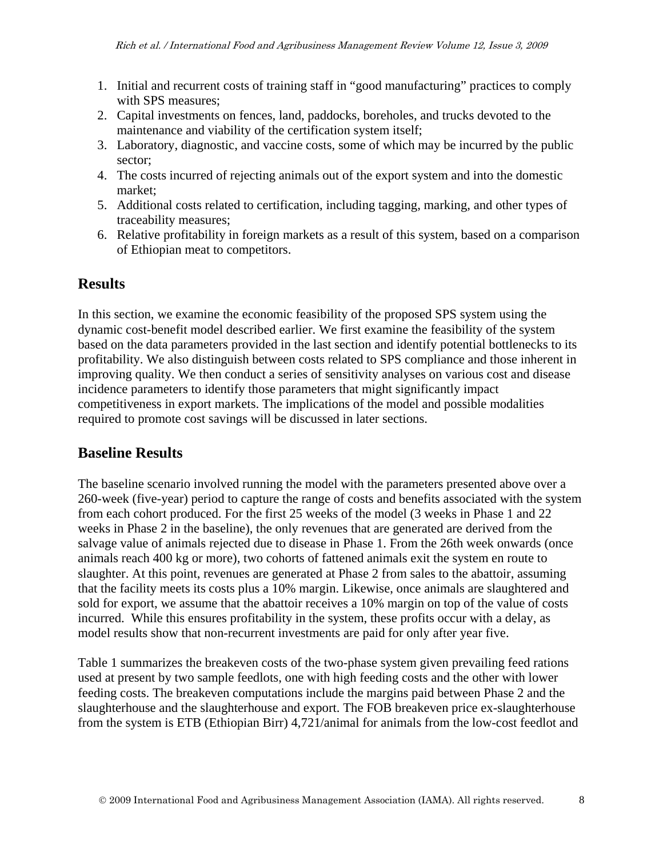- 1. Initial and recurrent costs of training staff in "good manufacturing" practices to comply with SPS measures;
- 2. Capital investments on fences, land, paddocks, boreholes, and trucks devoted to the maintenance and viability of the certification system itself;
- 3. Laboratory, diagnostic, and vaccine costs, some of which may be incurred by the public sector;
- 4. The costs incurred of rejecting animals out of the export system and into the domestic market;
- 5. Additional costs related to certification, including tagging, marking, and other types of traceability measures;
- 6. Relative profitability in foreign markets as a result of this system, based on a comparison of Ethiopian meat to competitors.

# **Results**

In this section, we examine the economic feasibility of the proposed SPS system using the dynamic cost-benefit model described earlier. We first examine the feasibility of the system based on the data parameters provided in the last section and identify potential bottlenecks to its profitability. We also distinguish between costs related to SPS compliance and those inherent in improving quality. We then conduct a series of sensitivity analyses on various cost and disease incidence parameters to identify those parameters that might significantly impact competitiveness in export markets. The implications of the model and possible modalities required to promote cost savings will be discussed in later sections.

# **Baseline Results**

The baseline scenario involved running the model with the parameters presented above over a 260-week (five-year) period to capture the range of costs and benefits associated with the system from each cohort produced. For the first 25 weeks of the model (3 weeks in Phase 1 and 22 weeks in Phase 2 in the baseline), the only revenues that are generated are derived from the salvage value of animals rejected due to disease in Phase 1. From the 26th week onwards (once animals reach 400 kg or more), two cohorts of fattened animals exit the system en route to slaughter. At this point, revenues are generated at Phase 2 from sales to the abattoir, assuming that the facility meets its costs plus a 10% margin. Likewise, once animals are slaughtered and sold for export, we assume that the abattoir receives a 10% margin on top of the value of costs incurred. While this ensures profitability in the system, these profits occur with a delay, as model results show that non-recurrent investments are paid for only after year five.

Table 1 summarizes the breakeven costs of the two-phase system given prevailing feed rations used at present by two sample feedlots, one with high feeding costs and the other with lower feeding costs. The breakeven computations include the margins paid between Phase 2 and the slaughterhouse and the slaughterhouse and export. The FOB breakeven price ex-slaughterhouse from the system is ETB (Ethiopian Birr) 4,721/animal for animals from the low-cost feedlot and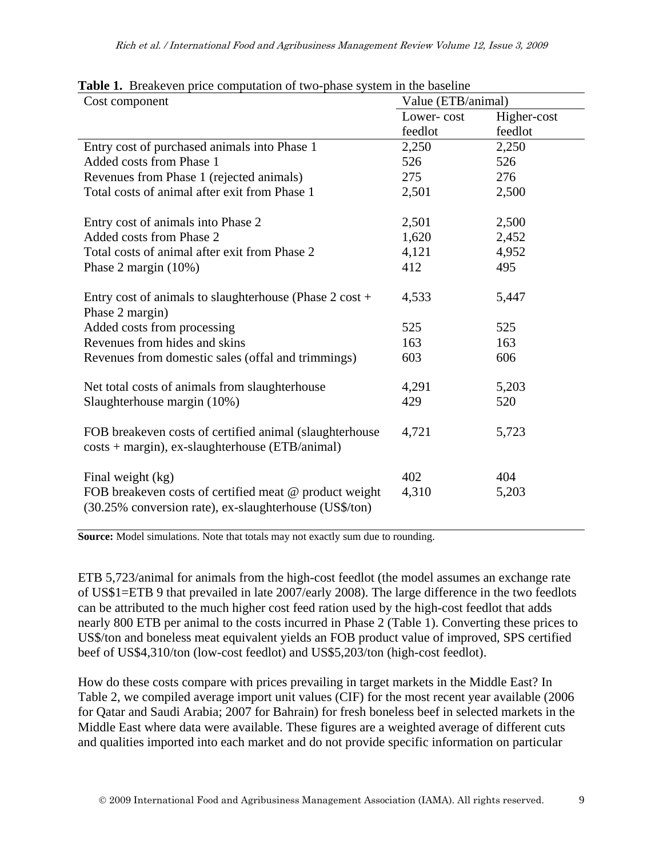| <b>TWORK TO DIVING VEH PLICE COMPUTATION</b> OF two phase by stem in the baseme<br>Cost component                | Value (ETB/animal) |             |  |  |
|------------------------------------------------------------------------------------------------------------------|--------------------|-------------|--|--|
|                                                                                                                  | Lower-cost         | Higher-cost |  |  |
|                                                                                                                  | feedlot            | feedlot     |  |  |
| Entry cost of purchased animals into Phase 1                                                                     | 2,250              | 2,250       |  |  |
| Added costs from Phase 1                                                                                         | 526                | 526         |  |  |
| Revenues from Phase 1 (rejected animals)                                                                         | 275                | 276         |  |  |
| Total costs of animal after exit from Phase 1                                                                    | 2,501              | 2,500       |  |  |
| Entry cost of animals into Phase 2                                                                               | 2,501              | 2,500       |  |  |
| Added costs from Phase 2                                                                                         | 1,620              | 2,452       |  |  |
| Total costs of animal after exit from Phase 2                                                                    | 4,121              | 4,952       |  |  |
| Phase 2 margin (10%)                                                                                             | 412                | 495         |  |  |
| Entry cost of animals to slaughterhouse (Phase $2 \text{ cost} +$<br>Phase 2 margin)                             | 4,533              | 5,447       |  |  |
| Added costs from processing                                                                                      | 525                | 525         |  |  |
| Revenues from hides and skins                                                                                    | 163                | 163         |  |  |
| Revenues from domestic sales (offal and trimmings)                                                               | 603                | 606         |  |  |
| Net total costs of animals from slaughterhouse                                                                   | 4,291              | 5,203       |  |  |
| Slaughterhouse margin (10%)                                                                                      | 429                | 520         |  |  |
| FOB breakeven costs of certified animal (slaughterhouse<br>costs + margin), ex-slaughterhouse (ETB/animal)       | 4,721              | 5,723       |  |  |
| Final weight (kg)                                                                                                | 402                | 404         |  |  |
| FOB breakeven costs of certified meat @ product weight<br>(30.25% conversion rate), ex-slaughterhouse (US\$/ton) | 4,310              | 5,203       |  |  |

#### **Table 1.** Breakeven price computation of two-phase system in the baseline

**Source:** Model simulations. Note that totals may not exactly sum due to rounding.

ETB 5,723/animal for animals from the high-cost feedlot (the model assumes an exchange rate of US\$1=ETB 9 that prevailed in late 2007/early 2008). The large difference in the two feedlots can be attributed to the much higher cost feed ration used by the high-cost feedlot that adds nearly 800 ETB per animal to the costs incurred in Phase 2 (Table 1). Converting these prices to US\$/ton and boneless meat equivalent yields an FOB product value of improved, SPS certified beef of US\$4,310/ton (low-cost feedlot) and US\$5,203/ton (high-cost feedlot).

How do these costs compare with prices prevailing in target markets in the Middle East? In Table 2, we compiled average import unit values (CIF) for the most recent year available (2006 for Qatar and Saudi Arabia; 2007 for Bahrain) for fresh boneless beef in selected markets in the Middle East where data were available. These figures are a weighted average of different cuts and qualities imported into each market and do not provide specific information on particular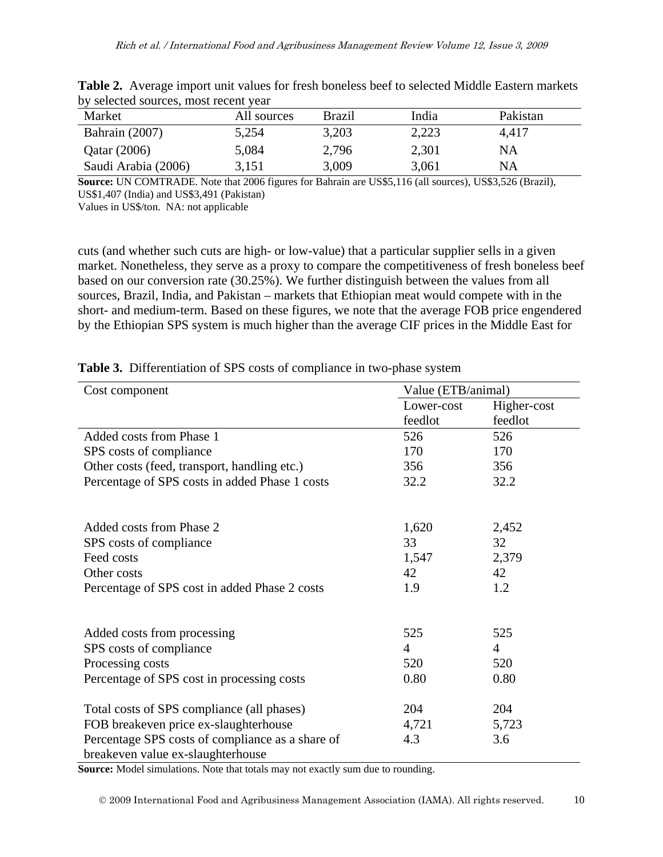|                     | $\sigma$ , beleeted both cost most recent $\sigma$ and |               |       |          |  |  |  |
|---------------------|--------------------------------------------------------|---------------|-------|----------|--|--|--|
| Market              | All sources                                            | <b>Brazil</b> | India | Pakistan |  |  |  |
| Bahrain (2007)      | 5,254                                                  | 3,203         | 2,223 | 4,417    |  |  |  |
| Qatar (2006)        | 5,084                                                  | 2,796         | 2,301 | NΑ       |  |  |  |
| Saudi Arabia (2006) | 3.151                                                  | 3,009         | 3,061 | NA       |  |  |  |

**Table 2.** Average import unit values for fresh boneless beef to selected Middle Eastern markets by selected sources, most recent year

**Source:** UN COMTRADE. Note that 2006 figures for Bahrain are US\$5,116 (all sources), US\$3,526 (Brazil), US\$1,407 (India) and US\$3,491 (Pakistan)

Values in US\$/ton. NA: not applicable

cuts (and whether such cuts are high- or low-value) that a particular supplier sells in a given market. Nonetheless, they serve as a proxy to compare the competitiveness of fresh boneless beef based on our conversion rate (30.25%). We further distinguish between the values from all sources, Brazil, India, and Pakistan – markets that Ethiopian meat would compete with in the short- and medium-term. Based on these figures, we note that the average FOB price engendered by the Ethiopian SPS system is much higher than the average CIF prices in the Middle East for

| Value (ETB/animal) |                     |                     |  |
|--------------------|---------------------|---------------------|--|
| Lower-cost         | Higher-cost         |                     |  |
| feedlot            | feedlot             |                     |  |
| 526                | 526                 |                     |  |
| 170                | 170                 |                     |  |
| 356                | 356                 |                     |  |
| 32.2               | 32.2                |                     |  |
|                    |                     |                     |  |
| 1,620              | 2,452               |                     |  |
| 33                 | 32                  |                     |  |
| 1,547              | 2,379               |                     |  |
| 42                 | 42                  |                     |  |
| 1.9                | 1.2                 |                     |  |
|                    |                     |                     |  |
| 525                | 525                 |                     |  |
| $\overline{4}$     | $\overline{4}$      |                     |  |
| 520                | 520                 |                     |  |
| 0.80               | 0.80                |                     |  |
|                    |                     |                     |  |
|                    |                     |                     |  |
|                    |                     |                     |  |
|                    |                     |                     |  |
|                    | 204<br>4,721<br>4.3 | 204<br>5,723<br>3.6 |  |

**Table 3.** Differentiation of SPS costs of compliance in two-phase system

**Source:** Model simulations. Note that totals may not exactly sum due to rounding.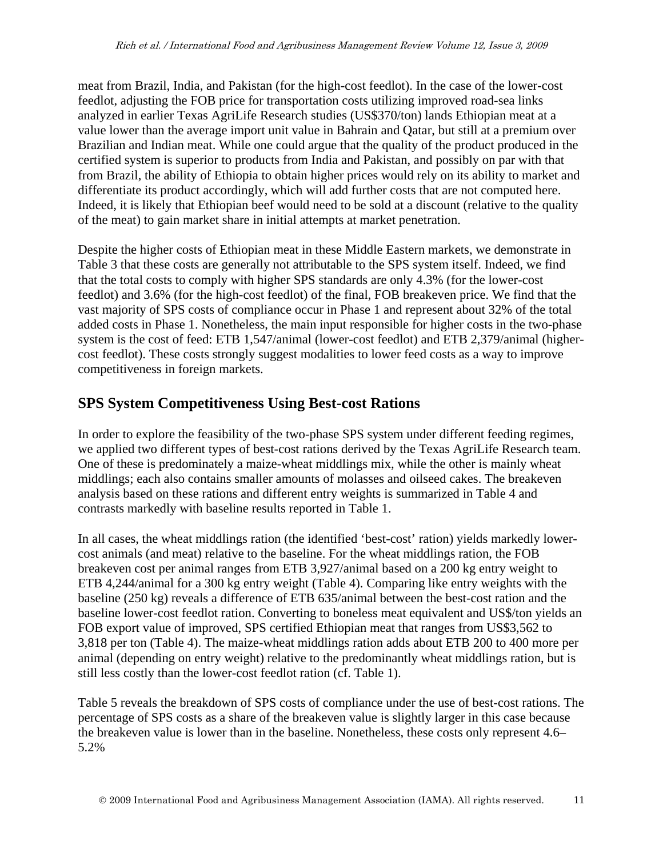meat from Brazil, India, and Pakistan (for the high-cost feedlot). In the case of the lower-cost feedlot, adjusting the FOB price for transportation costs utilizing improved road-sea links analyzed in earlier Texas AgriLife Research studies (US\$370/ton) lands Ethiopian meat at a value lower than the average import unit value in Bahrain and Qatar, but still at a premium over Brazilian and Indian meat. While one could argue that the quality of the product produced in the certified system is superior to products from India and Pakistan, and possibly on par with that from Brazil, the ability of Ethiopia to obtain higher prices would rely on its ability to market and differentiate its product accordingly, which will add further costs that are not computed here. Indeed, it is likely that Ethiopian beef would need to be sold at a discount (relative to the quality of the meat) to gain market share in initial attempts at market penetration.

Despite the higher costs of Ethiopian meat in these Middle Eastern markets, we demonstrate in Table 3 that these costs are generally not attributable to the SPS system itself. Indeed, we find that the total costs to comply with higher SPS standards are only 4.3% (for the lower-cost feedlot) and 3.6% (for the high-cost feedlot) of the final, FOB breakeven price. We find that the vast majority of SPS costs of compliance occur in Phase 1 and represent about 32% of the total added costs in Phase 1. Nonetheless, the main input responsible for higher costs in the two-phase system is the cost of feed: ETB 1,547/animal (lower-cost feedlot) and ETB 2,379/animal (highercost feedlot). These costs strongly suggest modalities to lower feed costs as a way to improve competitiveness in foreign markets.

# **SPS System Competitiveness Using Best-cost Rations**

In order to explore the feasibility of the two-phase SPS system under different feeding regimes, we applied two different types of best-cost rations derived by the Texas AgriLife Research team. One of these is predominately a maize-wheat middlings mix, while the other is mainly wheat middlings; each also contains smaller amounts of molasses and oilseed cakes. The breakeven analysis based on these rations and different entry weights is summarized in Table 4 and contrasts markedly with baseline results reported in Table 1.

In all cases, the wheat middlings ration (the identified 'best-cost' ration) yields markedly lowercost animals (and meat) relative to the baseline. For the wheat middlings ration, the FOB breakeven cost per animal ranges from ETB 3,927/animal based on a 200 kg entry weight to ETB 4,244/animal for a 300 kg entry weight (Table 4). Comparing like entry weights with the baseline (250 kg) reveals a difference of ETB 635/animal between the best-cost ration and the baseline lower-cost feedlot ration. Converting to boneless meat equivalent and US\$/ton yields an FOB export value of improved, SPS certified Ethiopian meat that ranges from US\$3,562 to 3,818 per ton (Table 4). The maize-wheat middlings ration adds about ETB 200 to 400 more per animal (depending on entry weight) relative to the predominantly wheat middlings ration, but is still less costly than the lower-cost feedlot ration (cf. Table 1).

Table 5 reveals the breakdown of SPS costs of compliance under the use of best-cost rations. The percentage of SPS costs as a share of the breakeven value is slightly larger in this case because the breakeven value is lower than in the baseline. Nonetheless, these costs only represent 4.6– 5.2%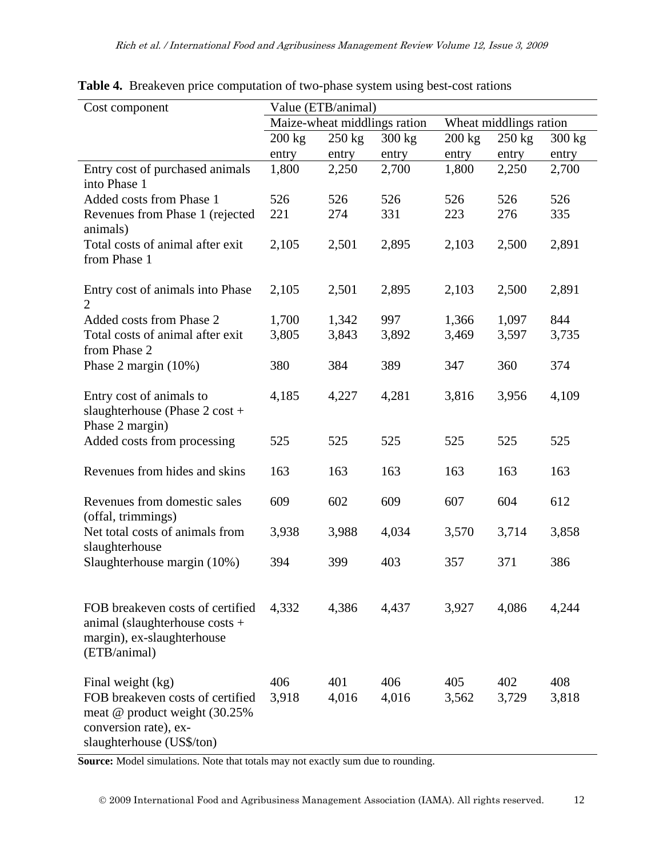| Cost component                                                                                                                                | Value (ETB/animal)           |                  |                  |                        |                  |              |
|-----------------------------------------------------------------------------------------------------------------------------------------------|------------------------------|------------------|------------------|------------------------|------------------|--------------|
|                                                                                                                                               | Maize-wheat middlings ration |                  |                  | Wheat middlings ration |                  |              |
|                                                                                                                                               | $200 \text{ kg}$             | $250 \text{ kg}$ | $300 \text{ kg}$ | $200$ kg               | $250 \text{ kg}$ | 300 kg       |
|                                                                                                                                               | entry                        | entry            | entry            | entry                  | entry            | entry        |
| Entry cost of purchased animals<br>into Phase 1                                                                                               | 1,800                        | 2,250            | 2,700            | 1,800                  | 2,250            | 2,700        |
| Added costs from Phase 1                                                                                                                      | 526                          | 526              | 526              | 526                    | 526              | 526          |
| Revenues from Phase 1 (rejected<br>animals)                                                                                                   | 221                          | 274              | 331              | 223                    | 276              | 335          |
| Total costs of animal after exit<br>from Phase 1                                                                                              | 2,105                        | 2,501            | 2,895            | 2,103                  | 2,500            | 2,891        |
| Entry cost of animals into Phase<br>$\overline{2}$                                                                                            | 2,105                        | 2,501            | 2,895            | 2,103                  | 2,500            | 2,891        |
| Added costs from Phase 2<br>Total costs of animal after exit                                                                                  | 1,700<br>3,805               | 1,342<br>3,843   | 997<br>3,892     | 1,366<br>3,469         | 1,097<br>3,597   | 844<br>3,735 |
| from Phase 2                                                                                                                                  |                              |                  |                  |                        |                  |              |
| Phase 2 margin $(10\%)$                                                                                                                       | 380                          | 384              | 389              | 347                    | 360              | 374          |
| Entry cost of animals to<br>slaughterhouse (Phase $2 \cos t +$<br>Phase 2 margin)                                                             | 4,185                        | 4,227            | 4,281            | 3,816                  | 3,956            | 4,109        |
| Added costs from processing                                                                                                                   | 525                          | 525              | 525              | 525                    | 525              | 525          |
| Revenues from hides and skins                                                                                                                 | 163                          | 163              | 163              | 163                    | 163              | 163          |
| Revenues from domestic sales<br>(offal, trimmings)                                                                                            | 609                          | 602              | 609              | 607                    | 604              | 612          |
| Net total costs of animals from<br>slaughterhouse                                                                                             | 3,938                        | 3,988            | 4,034            | 3,570                  | 3,714            | 3,858        |
| Slaughterhouse margin (10%)                                                                                                                   | 394                          | 399              | 403              | 357                    | 371              | 386          |
| FOB breakeven costs of certified<br>animal (slaughterhouse costs $+$<br>margin), ex-slaughterhouse<br>(ETB/animal)                            | 4,332                        | 4,386            | 4,437            | 3,927                  | 4,086            | 4,244        |
| Final weight (kg)<br>FOB breakeven costs of certified<br>meat @ product weight (30.25%)<br>conversion rate), ex-<br>slaughterhouse (US\$/ton) | 406<br>3,918                 | 401<br>4,016     | 406<br>4,016     | 405<br>3,562           | 402<br>3,729     | 408<br>3,818 |

**Table 4.** Breakeven price computation of two-phase system using best-cost rations

**Source:** Model simulations. Note that totals may not exactly sum due to rounding.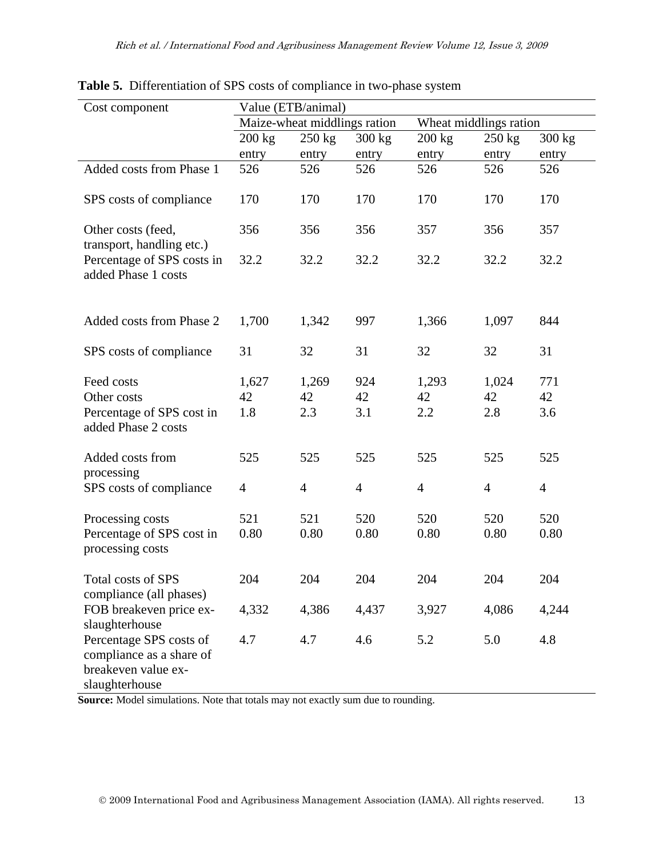| Cost component                                                                               | Value (ETB/animal)           |                    |                        |                    |                    |                  |
|----------------------------------------------------------------------------------------------|------------------------------|--------------------|------------------------|--------------------|--------------------|------------------|
|                                                                                              | Maize-wheat middlings ration |                    | Wheat middlings ration |                    |                    |                  |
|                                                                                              | $200$ kg                     | $250 \text{ kg}$   | $300 \text{ kg}$       | $200 \text{ kg}$   | $250 \text{ kg}$   | 300 kg           |
|                                                                                              | entry                        | entry              | entry                  | entry              | entry              | entry            |
| Added costs from Phase 1                                                                     | 526                          | 526                | 526                    | 526                | 526                | 526              |
| SPS costs of compliance                                                                      | 170                          | 170                | 170                    | 170                | 170                | 170              |
| Other costs (feed,<br>transport, handling etc.)                                              | 356                          | 356                | 356                    | 357                | 356                | 357              |
| Percentage of SPS costs in<br>added Phase 1 costs                                            | 32.2                         | 32.2               | 32.2                   | 32.2               | 32.2               | 32.2             |
| Added costs from Phase 2                                                                     | 1,700                        | 1,342              | 997                    | 1,366              | 1,097              | 844              |
| SPS costs of compliance                                                                      | 31                           | 32                 | 31                     | 32                 | 32                 | 31               |
| Feed costs<br>Other costs<br>Percentage of SPS cost in<br>added Phase 2 costs                | 1,627<br>42<br>1.8           | 1,269<br>42<br>2.3 | 924<br>42<br>3.1       | 1,293<br>42<br>2.2 | 1,024<br>42<br>2.8 | 771<br>42<br>3.6 |
| Added costs from<br>processing                                                               | 525                          | 525                | 525                    | 525                | 525                | 525              |
| SPS costs of compliance                                                                      | $\overline{4}$               | $\overline{4}$     | $\overline{4}$         | $\overline{4}$     | $\overline{4}$     | $\overline{4}$   |
| Processing costs<br>Percentage of SPS cost in<br>processing costs                            | 521<br>0.80                  | 521<br>0.80        | 520<br>0.80            | 520<br>0.80        | 520<br>0.80        | 520<br>0.80      |
| Total costs of SPS<br>compliance (all phases)                                                | 204                          | 204                | 204                    | 204                | 204                | 204              |
| FOB breakeven price ex-<br>slaughterhouse                                                    | 4,332                        | 4,386              | 4,437                  | 3,927              | 4,086              | 4,244            |
| Percentage SPS costs of<br>compliance as a share of<br>breakeven value ex-<br>slaughterhouse | 4.7                          | 4.7                | 4.6                    | 5.2                | 5.0                | 4.8              |

**Table 5.** Differentiation of SPS costs of compliance in two-phase system

**Source:** Model simulations. Note that totals may not exactly sum due to rounding.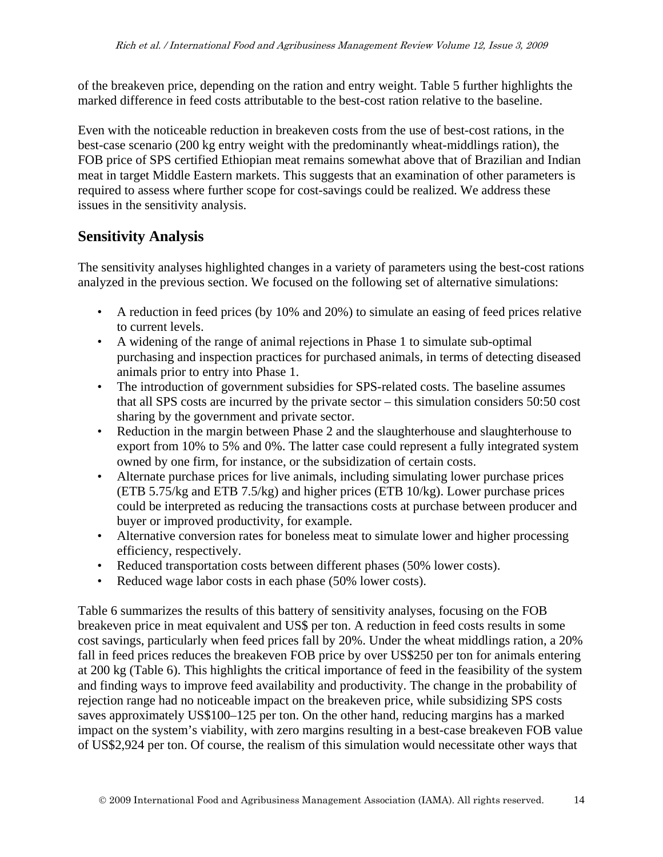of the breakeven price, depending on the ration and entry weight. Table 5 further highlights the marked difference in feed costs attributable to the best-cost ration relative to the baseline.

Even with the noticeable reduction in breakeven costs from the use of best-cost rations, in the best-case scenario (200 kg entry weight with the predominantly wheat-middlings ration), the FOB price of SPS certified Ethiopian meat remains somewhat above that of Brazilian and Indian meat in target Middle Eastern markets. This suggests that an examination of other parameters is required to assess where further scope for cost-savings could be realized. We address these issues in the sensitivity analysis.

# **Sensitivity Analysis**

The sensitivity analyses highlighted changes in a variety of parameters using the best-cost rations analyzed in the previous section. We focused on the following set of alternative simulations:

- A reduction in feed prices (by 10% and 20%) to simulate an easing of feed prices relative to current levels.
- A widening of the range of animal rejections in Phase 1 to simulate sub-optimal purchasing and inspection practices for purchased animals, in terms of detecting diseased animals prior to entry into Phase 1.
- The introduction of government subsidies for SPS-related costs. The baseline assumes that all SPS costs are incurred by the private sector – this simulation considers 50:50 cost sharing by the government and private sector.
- Reduction in the margin between Phase 2 and the slaughterhouse and slaughterhouse to export from 10% to 5% and 0%. The latter case could represent a fully integrated system owned by one firm, for instance, or the subsidization of certain costs.
- Alternate purchase prices for live animals, including simulating lower purchase prices (ETB 5.75/kg and ETB 7.5/kg) and higher prices (ETB 10/kg). Lower purchase prices could be interpreted as reducing the transactions costs at purchase between producer and buyer or improved productivity, for example.
- Alternative conversion rates for boneless meat to simulate lower and higher processing efficiency, respectively.
- Reduced transportation costs between different phases (50% lower costs).
- Reduced wage labor costs in each phase (50% lower costs).

Table 6 summarizes the results of this battery of sensitivity analyses, focusing on the FOB breakeven price in meat equivalent and US\$ per ton. A reduction in feed costs results in some cost savings, particularly when feed prices fall by 20%. Under the wheat middlings ration, a 20% fall in feed prices reduces the breakeven FOB price by over US\$250 per ton for animals entering at 200 kg (Table 6). This highlights the critical importance of feed in the feasibility of the system and finding ways to improve feed availability and productivity. The change in the probability of rejection range had no noticeable impact on the breakeven price, while subsidizing SPS costs saves approximately US\$100–125 per ton. On the other hand, reducing margins has a marked impact on the system's viability, with zero margins resulting in a best-case breakeven FOB value of US\$2,924 per ton. Of course, the realism of this simulation would necessitate other ways that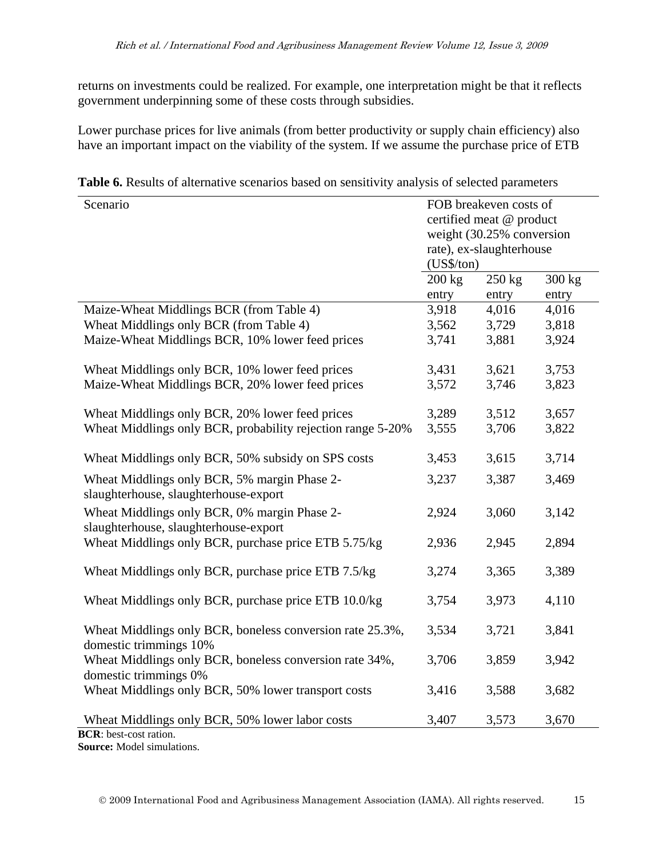returns on investments could be realized. For example, one interpretation might be that it reflects government underpinning some of these costs through subsidies.

Lower purchase prices for live animals (from better productivity or supply chain efficiency) also have an important impact on the viability of the system. If we assume the purchase price of ETB

**Table 6.** Results of alternative scenarios based on sensitivity analysis of selected parameters

| Scenario                                                    |            | FOB breakeven costs of    |          |
|-------------------------------------------------------------|------------|---------------------------|----------|
|                                                             |            | certified meat @ product  |          |
|                                                             |            | weight (30.25% conversion |          |
|                                                             |            | rate), ex-slaughterhouse  |          |
|                                                             | (US\$/ton) |                           |          |
|                                                             | $200$ kg   | $250$ kg                  | $300$ kg |
|                                                             | entry      | entry                     | entry    |
| Maize-Wheat Middlings BCR (from Table 4)                    | 3,918      | 4,016                     | 4,016    |
| Wheat Middlings only BCR (from Table 4)                     | 3,562      | 3,729                     | 3,818    |
| Maize-Wheat Middlings BCR, 10% lower feed prices            | 3,741      | 3,881                     | 3,924    |
|                                                             |            |                           |          |
| Wheat Middlings only BCR, 10% lower feed prices             | 3,431      | 3,621                     | 3,753    |
| Maize-Wheat Middlings BCR, 20% lower feed prices            | 3,572      | 3,746                     | 3,823    |
|                                                             |            |                           |          |
| Wheat Middlings only BCR, 20% lower feed prices             | 3,289      | 3,512                     | 3,657    |
| Wheat Middlings only BCR, probability rejection range 5-20% | 3,555      | 3,706                     | 3,822    |
|                                                             |            |                           |          |
| Wheat Middlings only BCR, 50% subsidy on SPS costs          | 3,453      | 3,615                     | 3,714    |
| Wheat Middlings only BCR, 5% margin Phase 2-                | 3,237      | 3,387                     | 3,469    |
| slaughterhouse, slaughterhouse-export                       |            |                           |          |
| Wheat Middlings only BCR, 0% margin Phase 2-                | 2,924      | 3,060                     | 3,142    |
| slaughterhouse, slaughterhouse-export                       |            |                           |          |
| Wheat Middlings only BCR, purchase price ETB 5.75/kg        | 2,936      | 2,945                     | 2,894    |
|                                                             |            |                           |          |
| Wheat Middlings only BCR, purchase price ETB 7.5/kg         | 3,274      | 3,365                     | 3,389    |
|                                                             |            |                           |          |
| Wheat Middlings only BCR, purchase price ETB 10.0/kg        | 3,754      | 3,973                     | 4,110    |
|                                                             |            |                           |          |
| Wheat Middlings only BCR, boneless conversion rate 25.3%,   | 3,534      | 3,721                     | 3,841    |
| domestic trimmings 10%                                      |            |                           |          |
| Wheat Middlings only BCR, boneless conversion rate 34%,     | 3,706      | 3,859                     | 3,942    |
| domestic trimmings 0%                                       |            |                           |          |
| Wheat Middlings only BCR, 50% lower transport costs         | 3,416      | 3,588                     | 3,682    |
|                                                             |            |                           |          |
| Wheat Middlings only BCR, 50% lower labor costs             | 3,407      | 3,573                     | 3,670    |
| <b>BCR</b> : best-cost ration.                              |            |                           |          |

**Source:** Model simulations.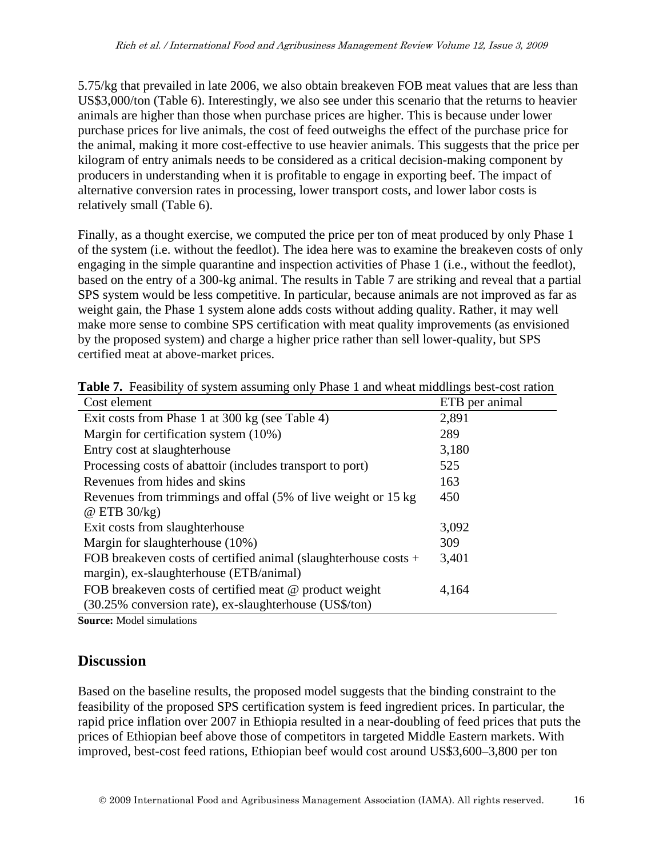5.75/kg that prevailed in late 2006, we also obtain breakeven FOB meat values that are less than US\$3,000/ton (Table 6). Interestingly, we also see under this scenario that the returns to heavier animals are higher than those when purchase prices are higher. This is because under lower purchase prices for live animals, the cost of feed outweighs the effect of the purchase price for the animal, making it more cost-effective to use heavier animals. This suggests that the price per kilogram of entry animals needs to be considered as a critical decision-making component by producers in understanding when it is profitable to engage in exporting beef. The impact of alternative conversion rates in processing, lower transport costs, and lower labor costs is relatively small (Table 6).

Finally, as a thought exercise, we computed the price per ton of meat produced by only Phase 1 of the system (i.e. without the feedlot). The idea here was to examine the breakeven costs of only engaging in the simple quarantine and inspection activities of Phase 1 (i.e., without the feedlot), based on the entry of a 300-kg animal. The results in Table 7 are striking and reveal that a partial SPS system would be less competitive. In particular, because animals are not improved as far as weight gain, the Phase 1 system alone adds costs without adding quality. Rather, it may well make more sense to combine SPS certification with meat quality improvements (as envisioned by the proposed system) and charge a higher price rather than sell lower-quality, but SPS certified meat at above-market prices.

| Cost element                                                      | ETB per animal |
|-------------------------------------------------------------------|----------------|
| Exit costs from Phase 1 at 300 kg (see Table 4)                   | 2,891          |
| Margin for certification system (10%)                             | 289            |
| Entry cost at slaughterhouse                                      | 3,180          |
| Processing costs of abattoir (includes transport to port)         | 525            |
| Revenues from hides and skins                                     | 163            |
| Revenues from trimmings and offal (5% of live weight or 15 kg)    | 450            |
| $\omega$ ETB 30/kg)                                               |                |
| Exit costs from slaughterhouse                                    | 3,092          |
| Margin for slaughterhouse (10%)                                   | 309            |
| FOB breakeven costs of certified animal (slaughterhouse costs $+$ | 3,401          |
| margin), ex-slaughterhouse (ETB/animal)                           |                |
| FOB breakeven costs of certified meat @ product weight            | 4,164          |
| (30.25% conversion rate), ex-slaughterhouse (US\$/ton)            |                |

**Table 7.** Feasibility of system assuming only Phase 1 and wheat middlings best-cost ration

**Source:** Model simulations

# **Discussion**

Based on the baseline results, the proposed model suggests that the binding constraint to the feasibility of the proposed SPS certification system is feed ingredient prices. In particular, the rapid price inflation over 2007 in Ethiopia resulted in a near-doubling of feed prices that puts the prices of Ethiopian beef above those of competitors in targeted Middle Eastern markets. With improved, best-cost feed rations, Ethiopian beef would cost around US\$3,600–3,800 per ton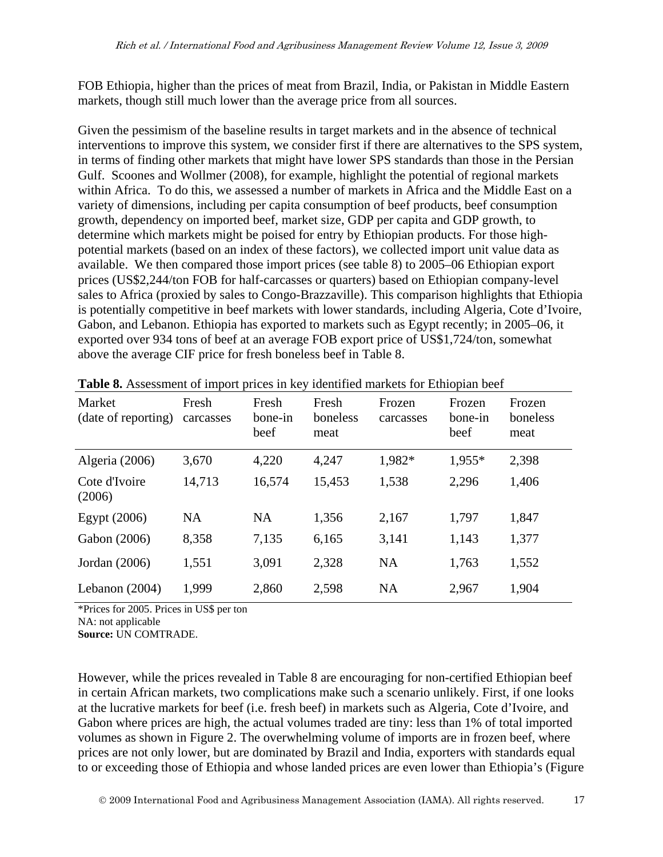FOB Ethiopia, higher than the prices of meat from Brazil, India, or Pakistan in Middle Eastern markets, though still much lower than the average price from all sources.

Given the pessimism of the baseline results in target markets and in the absence of technical interventions to improve this system, we consider first if there are alternatives to the SPS system, in terms of finding other markets that might have lower SPS standards than those in the Persian Gulf. Scoones and Wollmer (2008), for example, highlight the potential of regional markets within Africa. To do this, we assessed a number of markets in Africa and the Middle East on a variety of dimensions, including per capita consumption of beef products, beef consumption growth, dependency on imported beef, market size, GDP per capita and GDP growth, to determine which markets might be poised for entry by Ethiopian products. For those highpotential markets (based on an index of these factors), we collected import unit value data as available. We then compared those import prices (see table 8) to 2005–06 Ethiopian export prices (US\$2,244/ton FOB for half-carcasses or quarters) based on Ethiopian company-level sales to Africa (proxied by sales to Congo-Brazzaville). This comparison highlights that Ethiopia is potentially competitive in beef markets with lower standards, including Algeria, Cote d'Ivoire, Gabon, and Lebanon. Ethiopia has exported to markets such as Egypt recently; in 2005–06, it exported over 934 tons of beef at an average FOB export price of US\$1,724/ton, somewhat above the average CIF price for fresh boneless beef in Table 8.

| Market<br>(date of reporting) | Fresh<br>carcasses | Fresh<br>bone-in<br>beef | Fresh<br>boneless<br>meat | Frozen<br>carcasses | Frozen<br>bone-in<br>beef | Frozen<br>boneless<br>meat |
|-------------------------------|--------------------|--------------------------|---------------------------|---------------------|---------------------------|----------------------------|
| Algeria (2006)                | 3,670              | 4,220                    | 4,247                     | 1,982*              | 1,955*                    | 2,398                      |
| Cote d'Ivoire<br>(2006)       | 14,713             | 16,574                   | 15,453                    | 1,538               | 2,296                     | 1,406                      |
| Egypt $(2006)$                | <b>NA</b>          | <b>NA</b>                | 1,356                     | 2,167               | 1,797                     | 1,847                      |
| Gabon (2006)                  | 8,358              | 7,135                    | 6,165                     | 3,141               | 1,143                     | 1,377                      |
| Jordan (2006)                 | 1,551              | 3,091                    | 2,328                     | <b>NA</b>           | 1,763                     | 1,552                      |
| Lebanon $(2004)$              | 1,999              | 2,860                    | 2,598                     | <b>NA</b>           | 2,967                     | 1,904                      |

**Table 8.** Assessment of import prices in key identified markets for Ethiopian beef

\*Prices for 2005. Prices in US\$ per ton

NA: not applicable

**Source:** UN COMTRADE.

However, while the prices revealed in Table 8 are encouraging for non-certified Ethiopian beef in certain African markets, two complications make such a scenario unlikely. First, if one looks at the lucrative markets for beef (i.e. fresh beef) in markets such as Algeria, Cote d'Ivoire, and Gabon where prices are high, the actual volumes traded are tiny: less than 1% of total imported volumes as shown in Figure 2. The overwhelming volume of imports are in frozen beef, where prices are not only lower, but are dominated by Brazil and India, exporters with standards equal to or exceeding those of Ethiopia and whose landed prices are even lower than Ethiopia's (Figure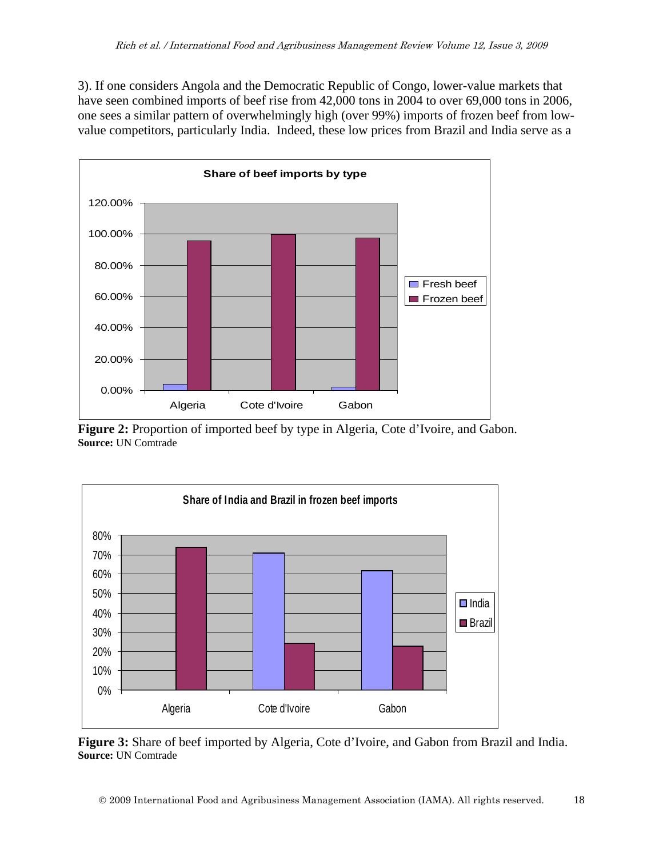3). If one considers Angola and the Democratic Republic of Congo, lower-value markets that have seen combined imports of beef rise from 42,000 tons in 2004 to over 69,000 tons in 2006, one sees a similar pattern of overwhelmingly high (over 99%) imports of frozen beef from lowvalue competitors, particularly India. Indeed, these low prices from Brazil and India serve as a



**Figure 2:** Proportion of imported beef by type in Algeria, Cote d'Ivoire, and Gabon. **Source:** UN Comtrade



**Figure 3:** Share of beef imported by Algeria, Cote d'Ivoire, and Gabon from Brazil and India. **Source:** UN Comtrade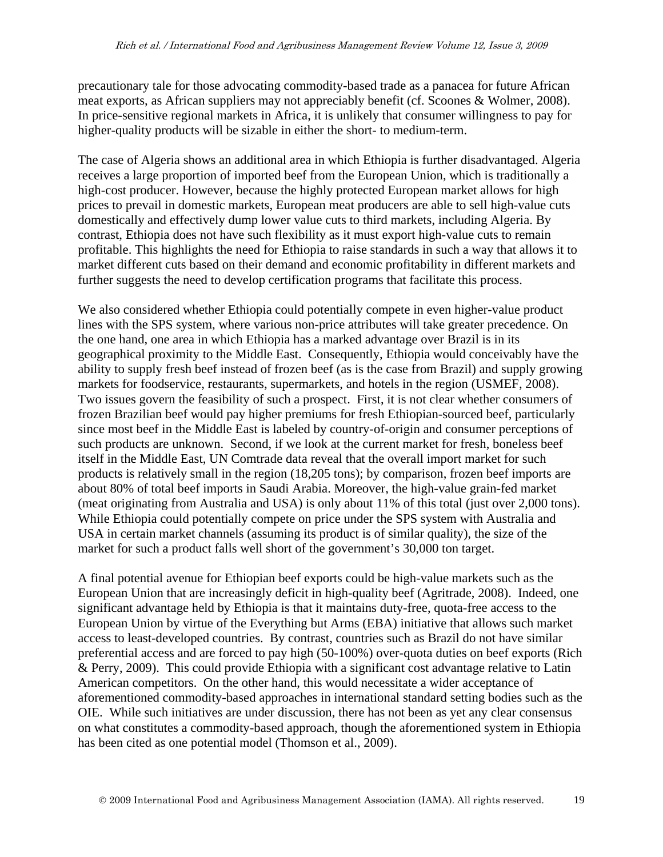precautionary tale for those advocating commodity-based trade as a panacea for future African meat exports, as African suppliers may not appreciably benefit (cf. Scoones & Wolmer, 2008). In price-sensitive regional markets in Africa, it is unlikely that consumer willingness to pay for higher-quality products will be sizable in either the short- to medium-term.

The case of Algeria shows an additional area in which Ethiopia is further disadvantaged. Algeria receives a large proportion of imported beef from the European Union, which is traditionally a high-cost producer. However, because the highly protected European market allows for high prices to prevail in domestic markets, European meat producers are able to sell high-value cuts domestically and effectively dump lower value cuts to third markets, including Algeria. By contrast, Ethiopia does not have such flexibility as it must export high-value cuts to remain profitable. This highlights the need for Ethiopia to raise standards in such a way that allows it to market different cuts based on their demand and economic profitability in different markets and further suggests the need to develop certification programs that facilitate this process.

We also considered whether Ethiopia could potentially compete in even higher-value product lines with the SPS system, where various non-price attributes will take greater precedence. On the one hand, one area in which Ethiopia has a marked advantage over Brazil is in its geographical proximity to the Middle East. Consequently, Ethiopia would conceivably have the ability to supply fresh beef instead of frozen beef (as is the case from Brazil) and supply growing markets for foodservice, restaurants, supermarkets, and hotels in the region (USMEF, 2008). Two issues govern the feasibility of such a prospect. First, it is not clear whether consumers of frozen Brazilian beef would pay higher premiums for fresh Ethiopian-sourced beef, particularly since most beef in the Middle East is labeled by country-of-origin and consumer perceptions of such products are unknown. Second, if we look at the current market for fresh, boneless beef itself in the Middle East, UN Comtrade data reveal that the overall import market for such products is relatively small in the region (18,205 tons); by comparison, frozen beef imports are about 80% of total beef imports in Saudi Arabia. Moreover, the high-value grain-fed market (meat originating from Australia and USA) is only about 11% of this total (just over 2,000 tons). While Ethiopia could potentially compete on price under the SPS system with Australia and USA in certain market channels (assuming its product is of similar quality), the size of the market for such a product falls well short of the government's 30,000 ton target.

A final potential avenue for Ethiopian beef exports could be high-value markets such as the European Union that are increasingly deficit in high-quality beef (Agritrade, 2008). Indeed, one significant advantage held by Ethiopia is that it maintains duty-free, quota-free access to the European Union by virtue of the Everything but Arms (EBA) initiative that allows such market access to least-developed countries. By contrast, countries such as Brazil do not have similar preferential access and are forced to pay high (50-100%) over-quota duties on beef exports (Rich & Perry, 2009). This could provide Ethiopia with a significant cost advantage relative to Latin American competitors. On the other hand, this would necessitate a wider acceptance of aforementioned commodity-based approaches in international standard setting bodies such as the OIE. While such initiatives are under discussion, there has not been as yet any clear consensus on what constitutes a commodity-based approach, though the aforementioned system in Ethiopia has been cited as one potential model (Thomson et al., 2009).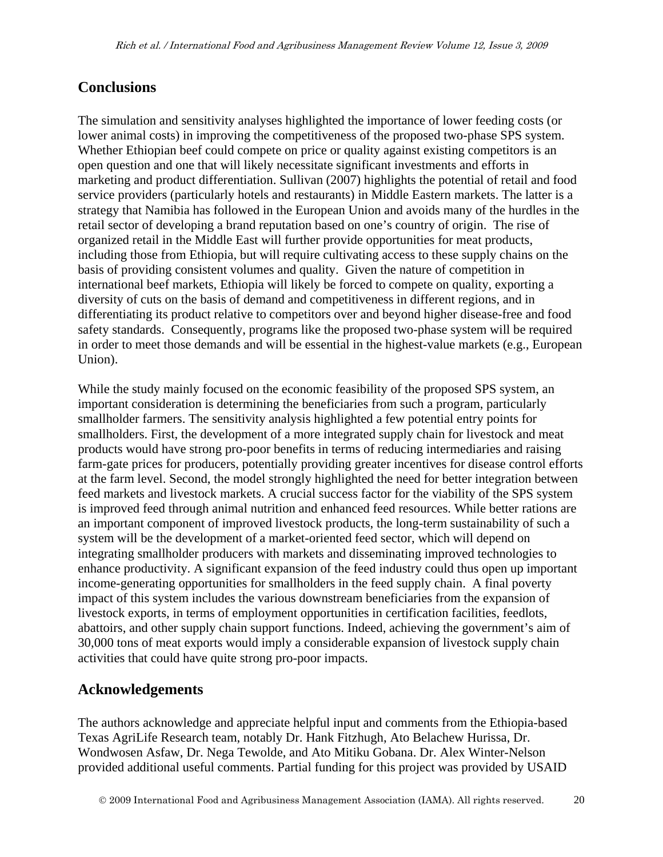# **Conclusions**

The simulation and sensitivity analyses highlighted the importance of lower feeding costs (or lower animal costs) in improving the competitiveness of the proposed two-phase SPS system. Whether Ethiopian beef could compete on price or quality against existing competitors is an open question and one that will likely necessitate significant investments and efforts in marketing and product differentiation. Sullivan (2007) highlights the potential of retail and food service providers (particularly hotels and restaurants) in Middle Eastern markets. The latter is a strategy that Namibia has followed in the European Union and avoids many of the hurdles in the retail sector of developing a brand reputation based on one's country of origin. The rise of organized retail in the Middle East will further provide opportunities for meat products, including those from Ethiopia, but will require cultivating access to these supply chains on the basis of providing consistent volumes and quality. Given the nature of competition in international beef markets, Ethiopia will likely be forced to compete on quality, exporting a diversity of cuts on the basis of demand and competitiveness in different regions, and in differentiating its product relative to competitors over and beyond higher disease-free and food safety standards. Consequently, programs like the proposed two-phase system will be required in order to meet those demands and will be essential in the highest-value markets (e.g., European Union).

While the study mainly focused on the economic feasibility of the proposed SPS system, an important consideration is determining the beneficiaries from such a program, particularly smallholder farmers. The sensitivity analysis highlighted a few potential entry points for smallholders. First, the development of a more integrated supply chain for livestock and meat products would have strong pro-poor benefits in terms of reducing intermediaries and raising farm-gate prices for producers, potentially providing greater incentives for disease control efforts at the farm level. Second, the model strongly highlighted the need for better integration between feed markets and livestock markets. A crucial success factor for the viability of the SPS system is improved feed through animal nutrition and enhanced feed resources. While better rations are an important component of improved livestock products, the long-term sustainability of such a system will be the development of a market-oriented feed sector, which will depend on integrating smallholder producers with markets and disseminating improved technologies to enhance productivity. A significant expansion of the feed industry could thus open up important income-generating opportunities for smallholders in the feed supply chain. A final poverty impact of this system includes the various downstream beneficiaries from the expansion of livestock exports, in terms of employment opportunities in certification facilities, feedlots, abattoirs, and other supply chain support functions. Indeed, achieving the government's aim of 30,000 tons of meat exports would imply a considerable expansion of livestock supply chain activities that could have quite strong pro-poor impacts.

# **Acknowledgements**

The authors acknowledge and appreciate helpful input and comments from the Ethiopia-based Texas AgriLife Research team, notably Dr. Hank Fitzhugh, Ato Belachew Hurissa, Dr. Wondwosen Asfaw, Dr. Nega Tewolde, and Ato Mitiku Gobana. Dr. Alex Winter-Nelson provided additional useful comments. Partial funding for this project was provided by USAID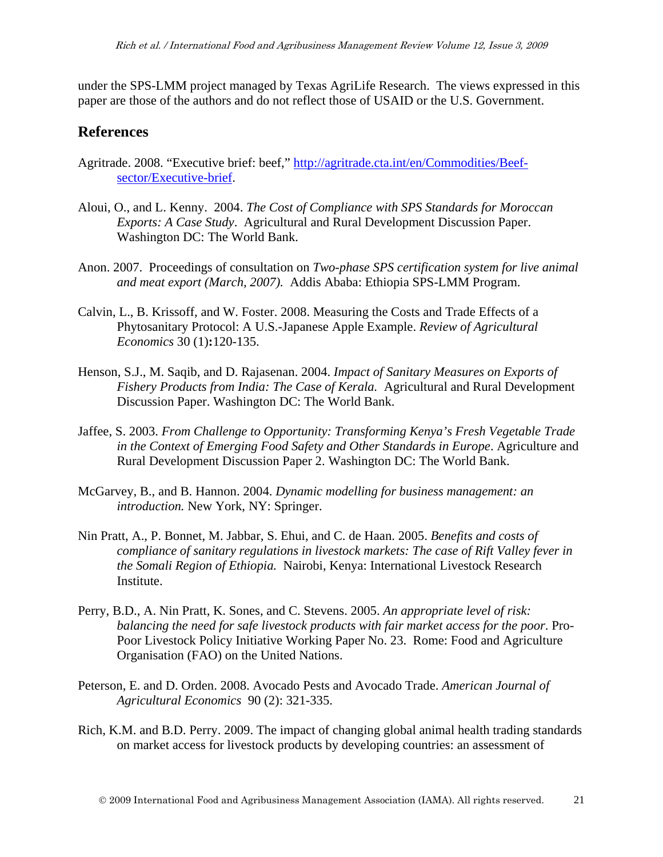under the SPS-LMM project managed by Texas AgriLife Research. The views expressed in this paper are those of the authors and do not reflect those of USAID or the U.S. Government.

# **References**

- Agritrade. 2008. "Executive brief: beef," [http://agritrade.cta.int/en/Commodities/Beef](http://agritrade.cta.int/en/Commodities/Beef-sector/Executive-brief)[sector/Executive-brief.](http://agritrade.cta.int/en/Commodities/Beef-sector/Executive-brief)
- Aloui, O., and L. Kenny. 2004. *The Cost of Compliance with SPS Standards for Moroccan Exports: A Case Study*. Agricultural and Rural Development Discussion Paper. Washington DC: The World Bank.
- Anon. 2007. Proceedings of consultation on *Two-phase SPS certification system for live animal and meat export (March, 2007).* Addis Ababa: Ethiopia SPS-LMM Program.
- Calvin, L., B. Krissoff, and W. Foster. 2008. Measuring the Costs and Trade Effects of a Phytosanitary Protocol: A U.S.-Japanese Apple Example. *Review of Agricultural Economics* 30 (1)**:**120-135.
- Henson, S.J., M. Saqib, and D. Rajasenan. 2004. *Impact of Sanitary Measures on Exports of Fishery Products from India: The Case of Kerala.* Agricultural and Rural Development Discussion Paper. Washington DC: The World Bank.
- Jaffee, S. 2003. *From Challenge to Opportunity: Transforming Kenya's Fresh Vegetable Trade in the Context of Emerging Food Safety and Other Standards in Europe*. Agriculture and Rural Development Discussion Paper 2. Washington DC: The World Bank.
- McGarvey, B., and B. Hannon. 2004. *Dynamic modelling for business management: an introduction.* New York, NY: Springer.
- Nin Pratt, A., P. Bonnet, M. Jabbar, S. Ehui, and C. de Haan. 2005. *Benefits and costs of compliance of sanitary regulations in livestock markets: The case of Rift Valley fever in the Somali Region of Ethiopia.* Nairobi, Kenya: International Livestock Research Institute.
- Perry, B.D., A. Nin Pratt, K. Sones, and C. Stevens. 2005. *An appropriate level of risk: balancing the need for safe livestock products with fair market access for the poor*. Pro-Poor Livestock Policy Initiative Working Paper No. 23. Rome: Food and Agriculture Organisation (FAO) on the United Nations.
- Peterson, E. and D. Orden. 2008. Avocado Pests and Avocado Trade. *American Journal of Agricultural Economics* 90 (2): 321-335.
- Rich, K.M. and B.D. Perry. 2009. The impact of changing global animal health trading standards on market access for livestock products by developing countries: an assessment of